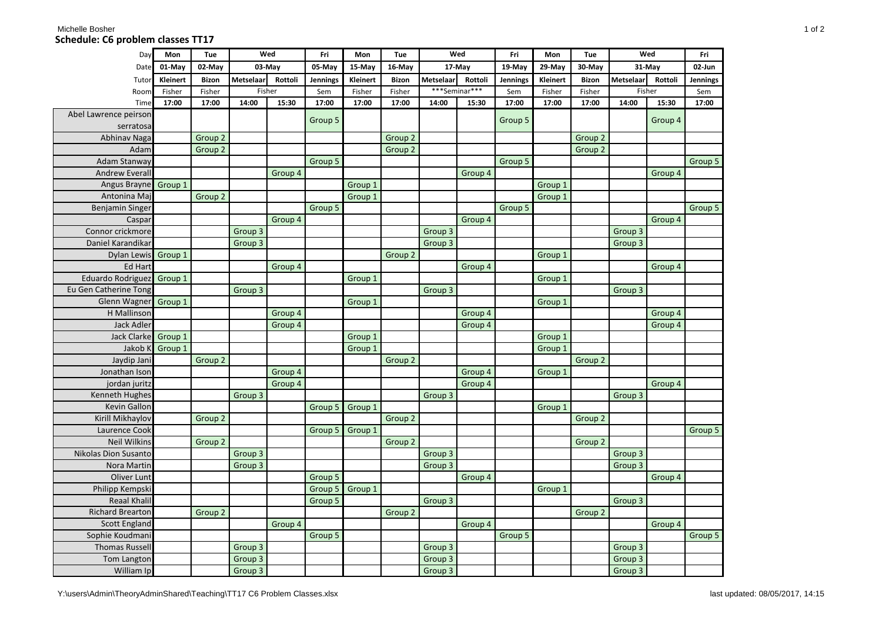## Michelle Bosher North America and the Society of 2008 of 2008 and the Society of 2008 and 2008 and 2008 and 20 **Schedule: C6 problem classes TT17**

| Day                      | Mon      | Tue                | Wed              |         | Fri             | Mon      | Tue                | Wed           |         | Fri      | Mon      | Tue                | Wed                |         | Fri      |
|--------------------------|----------|--------------------|------------------|---------|-----------------|----------|--------------------|---------------|---------|----------|----------|--------------------|--------------------|---------|----------|
| Date                     | 01-May   | 02-May             | 03-May           |         | 05-May          | 15-May   | 16-May             | 17-May        |         | 19-May   | 29-May   | 30-May             | 31-May             |         | 02-Jun   |
| Tutor                    | Kleinert | <b>Bizon</b>       | <b>Metselaar</b> | Rottoli | <b>Jennings</b> | Kleinert | <b>Bizon</b>       | Metselaar     | Rottoli | Jennings | Kleinert | <b>Bizon</b>       | Metselaar          | Rottoli | Jennings |
| Room                     | Fisher   | Fisher             |                  | Fisher  | Sem             | Fisher   | Fisher             | ***Seminar*** |         | Sem      | Fisher   | Fisher             | Fisher             |         | Sem      |
| Time                     | 17:00    | 17:00              | 14:00            | 15:30   | 17:00           | 17:00    | 17:00              | 14:00         | 15:30   | 17:00    | 17:00    | 17:00              | 14:00              | 15:30   | 17:00    |
| Abel Lawrence peirson    |          |                    |                  |         | Group 5         |          |                    |               |         | Group 5  |          |                    |                    | Group 4 |          |
| serratosa                |          |                    |                  |         |                 |          |                    |               |         |          |          |                    |                    |         |          |
| Abhinav Naga             |          | Group 2            |                  |         |                 |          | Group <sub>2</sub> |               |         |          |          | Group 2            |                    |         |          |
| Adam                     |          | Group <sub>2</sub> |                  |         |                 |          | Group <sub>2</sub> |               |         |          |          | Group 2            |                    |         |          |
| Adam Stanway             |          |                    |                  |         | Group 5         |          |                    |               |         | Group 5  |          |                    |                    |         | Group 5  |
| <b>Andrew Everall</b>    |          |                    |                  | Group 4 |                 |          |                    |               | Group 4 |          |          |                    |                    | Group 4 |          |
| Angus Brayne             | Group 1  |                    |                  |         |                 | Group 1  |                    |               |         |          | Group 1  |                    |                    |         |          |
| Antonina Maj             |          | Group 2            |                  |         |                 | Group 1  |                    |               |         |          | Group 1  |                    |                    |         |          |
| <b>Benjamin Singer</b>   |          |                    |                  |         | Group 5         |          |                    |               |         | Group 5  |          |                    |                    |         | Group 5  |
| Caspar                   |          |                    |                  | Group 4 |                 |          |                    |               | Group 4 |          |          |                    |                    | Group 4 |          |
| Connor crickmore         |          |                    | Group 3          |         |                 |          |                    | Group 3       |         |          |          |                    | Group 3            |         |          |
| Daniel Karandikar        |          |                    | Group 3          |         |                 |          |                    | Group 3       |         |          |          |                    | Group 3            |         |          |
| <b>Dylan Lewis</b>       | Group 1  |                    |                  |         |                 |          | Group <sub>2</sub> |               |         |          | Group 1  |                    |                    |         |          |
| <b>Ed Hart</b>           |          |                    |                  | Group 4 |                 |          |                    |               | Group 4 |          |          |                    |                    | Group 4 |          |
| <b>Eduardo Rodriguez</b> | Group 1  |                    |                  |         |                 | Group 1  |                    |               |         |          | Group 1  |                    |                    |         |          |
| Eu Gen Catherine Tong    |          |                    | Group 3          |         |                 |          |                    | Group 3       |         |          |          |                    | Group <sub>3</sub> |         |          |
| Glenn Wagner             | Group 1  |                    |                  |         |                 | Group 1  |                    |               |         |          | Group 1  |                    |                    |         |          |
| H Mallinson              |          |                    |                  | Group 4 |                 |          |                    |               | Group 4 |          |          |                    |                    | Group 4 |          |
| <b>Jack Adler</b>        |          |                    |                  | Group 4 |                 |          |                    |               | Group 4 |          |          |                    |                    | Group 4 |          |
| Jack Clarke              | Group 1  |                    |                  |         |                 | Group 1  |                    |               |         |          | Group 1  |                    |                    |         |          |
| Jakob K                  | Group 1  |                    |                  |         |                 | Group 1  |                    |               |         |          | Group 1  |                    |                    |         |          |
| Jaydip Jani              |          | Group 2            |                  |         |                 |          | Group 2            |               |         |          |          | Group 2            |                    |         |          |
| Jonathan Ison            |          |                    |                  | Group 4 |                 |          |                    |               | Group 4 |          | Group 1  |                    |                    |         |          |
| jordan juritz            |          |                    |                  | Group 4 |                 |          |                    |               | Group 4 |          |          |                    |                    | Group 4 |          |
| Kenneth Hughes           |          |                    | Group 3          |         |                 |          |                    | Group 3       |         |          |          |                    | Group <sub>3</sub> |         |          |
| Kevin Gallon             |          |                    |                  |         | Group 5         | Group 1  |                    |               |         |          | Group 1  |                    |                    |         |          |
| Kirill Mikhaylov         |          | Group <sub>2</sub> |                  |         |                 |          | Group <sub>2</sub> |               |         |          |          | Group <sub>2</sub> |                    |         |          |
| Laurence Cook            |          |                    |                  |         | Group 5         | Group 1  |                    |               |         |          |          |                    |                    |         | Group 5  |
| <b>Neil Wilkins</b>      |          | Group 2            |                  |         |                 |          | Group 2            |               |         |          |          | Group 2            |                    |         |          |
| Nikolas Dion Susanto     |          |                    | Group 3          |         |                 |          |                    | Group 3       |         |          |          |                    | Group <sub>3</sub> |         |          |
| Nora Martin              |          |                    | Group 3          |         |                 |          |                    | Group 3       |         |          |          |                    | Group 3            |         |          |
| Oliver Lunt              |          |                    |                  |         | Group 5         |          |                    |               | Group 4 |          |          |                    |                    | Group 4 |          |
| Philipp Kempski          |          |                    |                  |         | Group 5         | Group 1  |                    |               |         |          | Group 1  |                    |                    |         |          |
| <b>Reaal Khalil</b>      |          |                    |                  |         | Group 5         |          |                    | Group 3       |         |          |          |                    | Group <sub>3</sub> |         |          |
| <b>Richard Brearton</b>  |          | Group 2            |                  |         |                 |          | Group 2            |               |         |          |          | Group 2            |                    |         |          |
| <b>Scott England</b>     |          |                    |                  | Group 4 |                 |          |                    |               | Group 4 |          |          |                    |                    | Group 4 |          |
| Sophie Koudmani          |          |                    |                  |         | Group 5         |          |                    |               |         | Group 5  |          |                    |                    |         | Group 5  |
| <b>Thomas Russell</b>    |          |                    | Group 3          |         |                 |          |                    | Group 3       |         |          |          |                    | Group <sub>3</sub> |         |          |
| Tom Langton              |          |                    | Group 3          |         |                 |          |                    | Group 3       |         |          |          |                    | Group <sub>3</sub> |         |          |
| William Ip               |          |                    | Group 3          |         |                 |          |                    | Group 3       |         |          |          |                    | Group 3            |         |          |